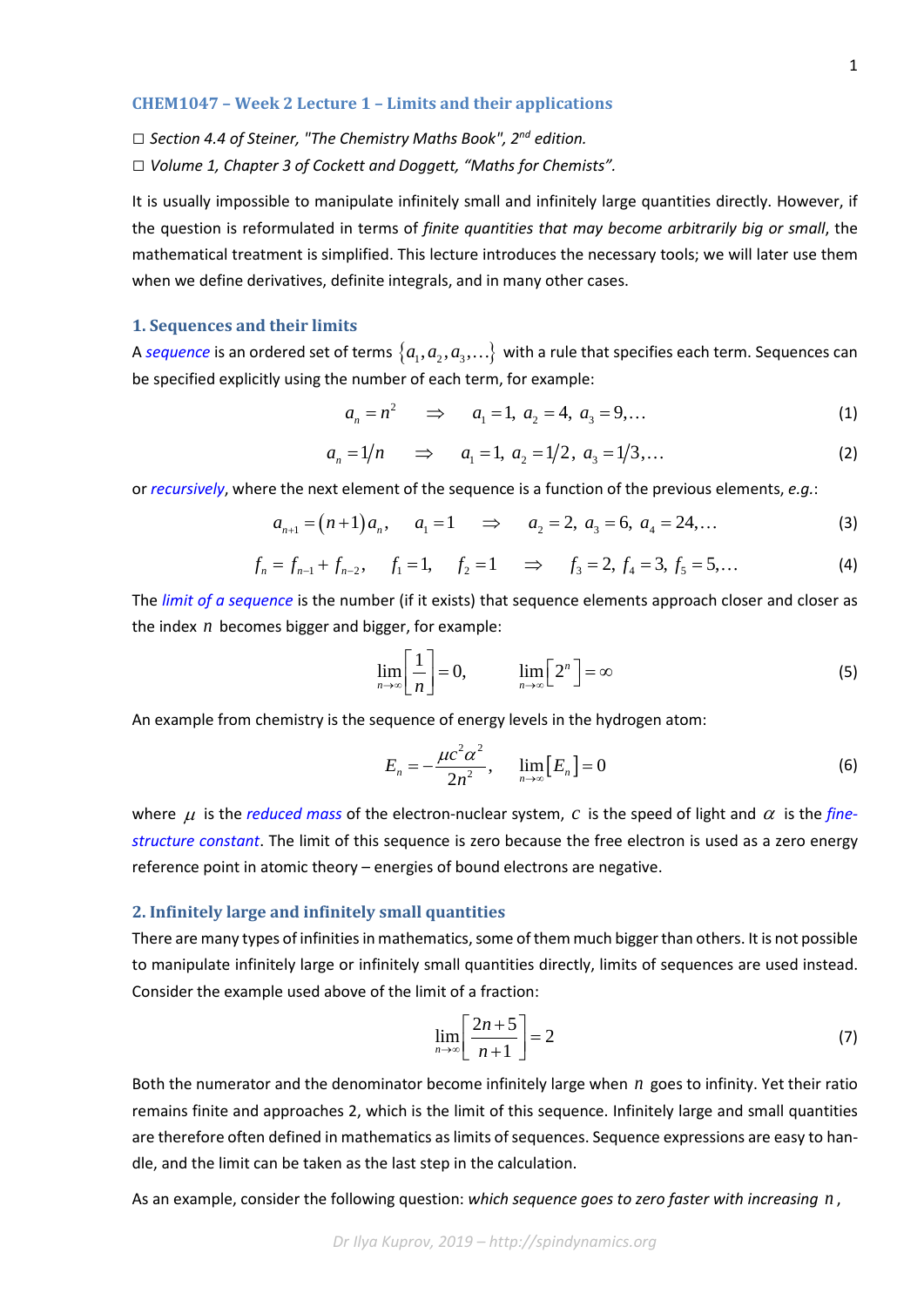#### **CHEM1047 – Week 2 Lecture 1 – Limits and their applications**

*□ Section 4.4 of Steiner, "The Chemistry Maths Book", 2nd edition.*

*□ Volume 1, Chapter 3 of Cockett and Doggett, "Maths for Chemists".*

It is usually impossible to manipulate infinitely small and infinitely large quantities directly. However, if the question is reformulated in terms of *finite quantities that may become arbitrarily big or small*, the mathematical treatment is simplified. This lecture introduces the necessary tools; we will later use them when we define derivatives, definite integrals, and in many other cases.

### **1. Sequences and their limits**

A *[sequence](https://en.wikipedia.org/wiki/Sequence)* is an ordered set of terms  $\{a_1, a_2, a_3, ...\}$  with a rule that specifies each term. Sequences can be specified explicitly using the number of each term, for example:

$$
a_n = n^2 \implies a_1 = 1, \ a_2 = 4, \ a_3 = 9, \dots \tag{1}
$$

$$
a_n = 1/n \Rightarrow a_1 = 1, \ a_2 = 1/2, \ a_3 = 1/3, \dots
$$
 (2)

or *[recursively](https://en.wikipedia.org/wiki/Recursive_definition)*, where the next element of the sequence is a function of the previous elements, *e.g.*:

$$
a_{n+1} = (n+1)a_n, \qquad a_1 = 1 \qquad \Rightarrow \qquad a_2 = 2, \ a_3 = 6, \ a_4 = 24, \dots \tag{3}
$$

$$
f_n = f_{n-1} + f_{n-2}, \quad f_1 = 1, \quad f_2 = 1 \quad \Rightarrow \quad f_3 = 2, f_4 = 3, f_5 = 5, \dots
$$
 (4)

The *[limit of a sequence](https://en.wikipedia.org/wiki/Limit_of_a_sequence)* is the number (if it exists) that sequence elements approach closer and closer as the index *n* becomes bigger and bigger, for example:

$$
\lim_{n \to \infty} \left[ \frac{1}{n} \right] = 0, \qquad \lim_{n \to \infty} \left[ 2^n \right] = \infty
$$
\n(5)

An example from chemistry is the sequence of energy levels in the hydrogen atom:

$$
E_n = -\frac{\mu c^2 \alpha^2}{2n^2}, \qquad \lim_{n \to \infty} [E_n] = 0 \tag{6}
$$

where  $\mu$  is the *[reduced mass](https://en.wikipedia.org/wiki/Reduced_mass)* of the electron-nuclear system, *c* is the speed of light and  $\alpha$  is the *[fine](https://en.wikipedia.org/wiki/Fine-structure_constant)[structure constant](https://en.wikipedia.org/wiki/Fine-structure_constant)*. The limit of this sequence is zero because the free electron is used as a zero energy reference point in atomic theory – energies of bound electrons are negative.

## **2. Infinitely large and infinitely small quantities**

There are many types of infinities in mathematics, some of them much bigger than others. It is not possible to manipulate infinitely large or infinitely small quantities directly, limits of sequences are used instead. Consider the example used above of the limit of a fraction:

$$
\lim_{n \to \infty} \left[ \frac{2n+5}{n+1} \right] = 2 \tag{7}
$$

Both the numerator and the denominator become infinitely large when *n* goes to infinity. Yet their ratio remains finite and approaches 2, which is the limit of this sequence. Infinitely large and small quantities are therefore often defined in mathematics as limits of sequences. Sequence expressions are easy to handle, and the limit can be taken as the last step in the calculation.

As an example, consider the following question: *which sequence goes to zero faster with increasing n* ,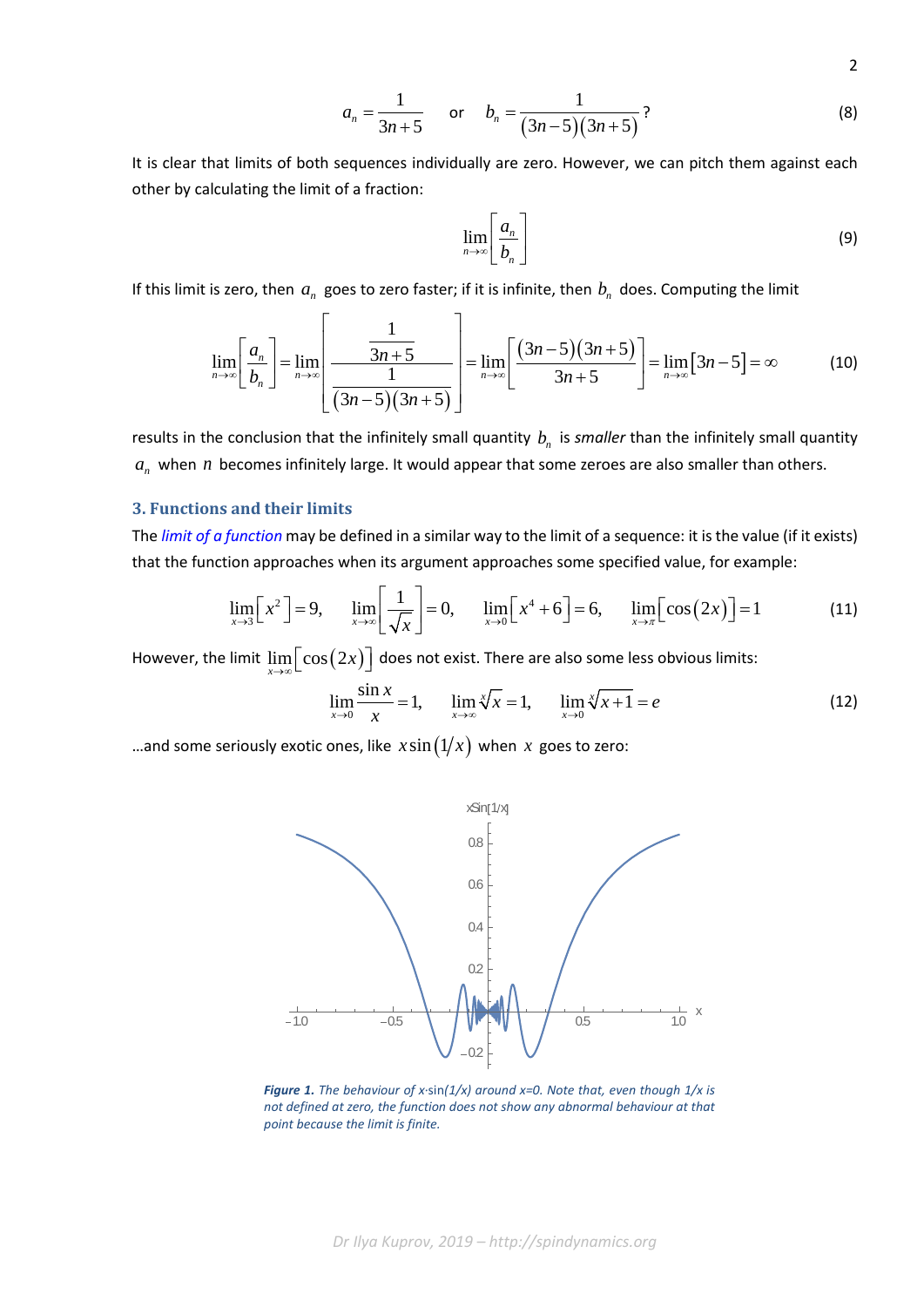$$
a_n = \frac{1}{3n+5} \quad \text{or} \quad b_n = \frac{1}{(3n-5)(3n+5)}
$$
 (8)

It is clear that limits of both sequences individually are zero. However, we can pitch them against each other by calculating the limit of a fraction:

$$
\lim_{n \to \infty} \left[ \frac{a_n}{b_n} \right] \tag{9}
$$

2

If this limit is zero, then  $a_n$  goes to zero faster; if it is infinite, then  $b_n$  does. Computing the limit

$$
\lim_{n\to\infty}\left[\frac{a_n}{b_n}\right] = \lim_{n\to\infty}\left[\frac{\frac{1}{3n+5}}{\frac{1}{(3n-5)(3n+5)}}\right] = \lim_{n\to\infty}\left[\frac{(3n-5)(3n+5)}{3n+5}\right] = \lim_{n\to\infty}\left[3n-5\right] = \infty
$$
 (10)

results in the conclusion that the infinitely small quantity  $b_n$  is *smaller* than the infinitely small quantity  $a_n$  when *n* becomes infinitely large. It would appear that some zeroes are also smaller than others.

## **3. Functions and their limits**

The *[limit of a function](https://en.wikipedia.org/wiki/Limit_of_a_function)* may be defined in a similar way to the limit of a sequence: it is the value (if it exists) that the function approaches when its argument approaches some specified value, for example:

$$
\lim_{x \to 3} \left[ x^2 \right] = 9, \quad \lim_{x \to \infty} \left[ \frac{1}{\sqrt{x}} \right] = 0, \quad \lim_{x \to 0} \left[ x^4 + 6 \right] = 6, \quad \lim_{x \to \pi} \left[ \cos(2x) \right] = 1
$$
 (11)

However, the limit  $\lim\limits_{x\to \infty} \bigl\lfloor\cos\bigl(2x\bigr)\bigr\rfloor$  does not exist. There are also some less obvious limits:

$$
\lim_{x \to 0} \frac{\sin x}{x} = 1, \qquad \lim_{x \to \infty} \sqrt[x]{x} = 1, \qquad \lim_{x \to 0} \sqrt[x]{x + 1} = e \tag{12}
$$

...and some seriously exotic ones, like  $x \sin(1/x)$  when x goes to zero:



*Figure 1. The behaviour of x·*sin*(1/x) around x=0. Note that, even though 1/x is not defined at zero, the function does not show any abnormal behaviour at that point because the limit is finite.*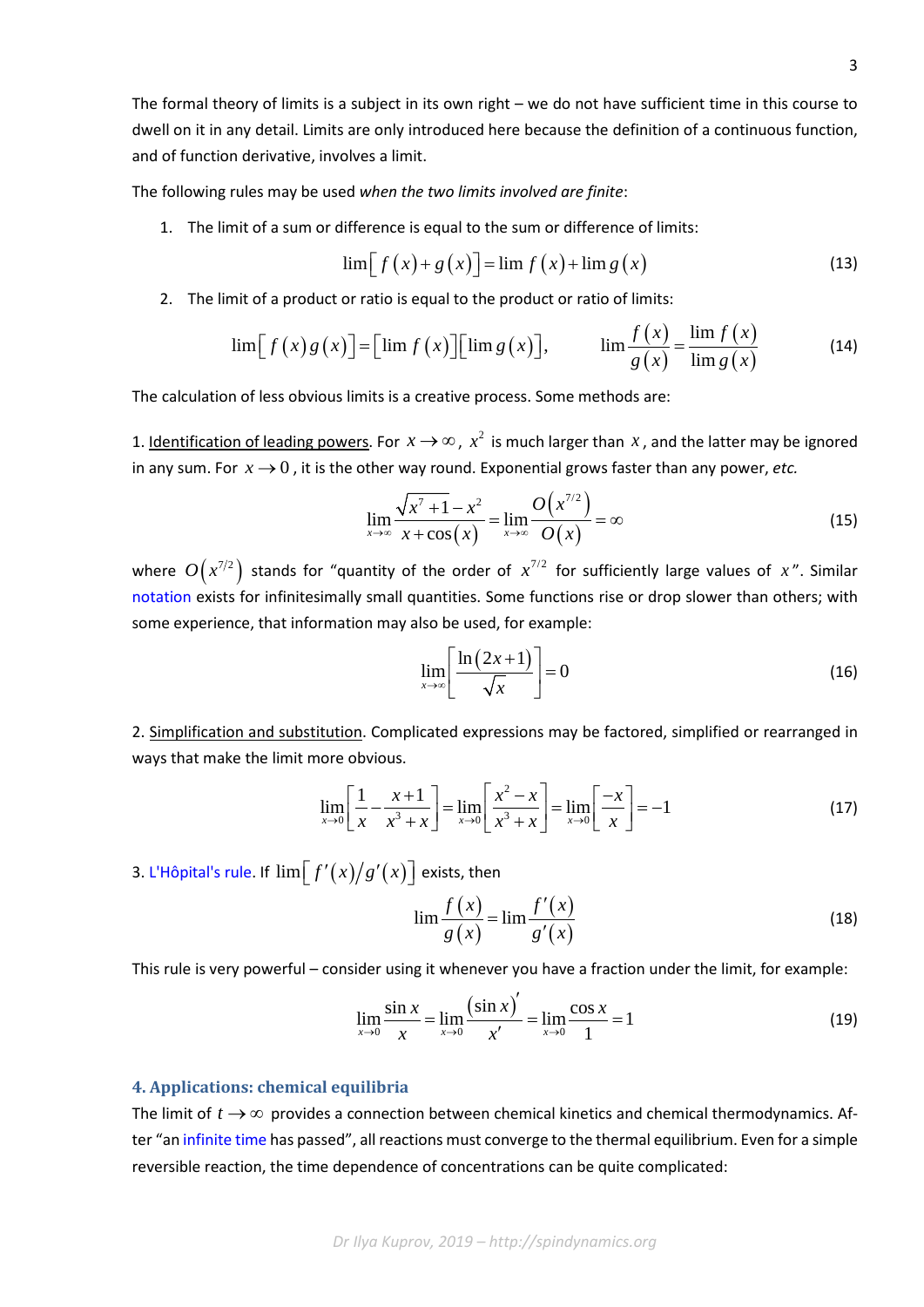The formal theory of limits is a subject in its own right – we do not have sufficient time in this course to dwell on it in any detail. Limits are only introduced here because the definition of a continuous function, and of function derivative, involves a limit.

The following rules may be used *when the two limits involved are finite*:

1. The limit of a sum or difference is equal to the sum or difference of limits:

$$
\lim [f(x) + g(x)] = \lim f(x) + \lim g(x)
$$
\n(13)

2. The limit of a product or ratio is equal to the product or ratio of limits:

$$
\lim [f(x)g(x)] = \left[\lim f(x)\right] \left[\lim g(x)\right], \qquad \lim \frac{f(x)}{g(x)} = \frac{\lim f(x)}{\lim g(x)} \tag{14}
$$

The calculation of less obvious limits is a creative process. Some methods are:

1. Identification of leading powers. For  $x \to \infty$ ,  $x^2$  is much larger than  $x$ , and the latter may be ignored in any sum. For  $x \rightarrow 0$ , it is the other way round. Exponential grows faster than any power, *etc.* 

$$
\lim_{x \to \infty} \frac{\sqrt{x^7 + 1} - x^2}{x + \cos(x)} = \lim_{x \to \infty} \frac{O(x^{7/2})}{O(x)} = \infty
$$
\n(15)

where  $O(x^{7/2})$  stands for "quantity of the order of  $x^{7/2}$  for sufficiently large values of x". Similar [notation](https://en.wikipedia.org/wiki/Big_O_notation) exists for infinitesimally small quantities. Some functions rise or drop slower than others; with some experience, that information may also be used, for example:

$$
\lim_{x \to \infty} \left[ \frac{\ln(2x+1)}{\sqrt{x}} \right] = 0 \tag{16}
$$

2. Simplification and substitution. Complicated expressions may be factored, simplified or rearranged in ways that make the limit more obvious.

$$
\lim_{x \to 0} \left[ \frac{1}{x} - \frac{x+1}{x^3 + x} \right] = \lim_{x \to 0} \left[ \frac{x^2 - x}{x^3 + x} \right] = \lim_{x \to 0} \left[ \frac{-x}{x} \right] = -1
$$
 (17)

3. [L'Hôpital's rule.](https://en.wikipedia.org/wiki/L%27H%C3%B4pital%27s_rule) If  $\lim [f'(x)/g'(x)]$  exists, then

$$
\lim \frac{f(x)}{g(x)} = \lim \frac{f'(x)}{g'(x)}
$$
\n(18)

This rule is very powerful – consider using it whenever you have a fraction under the limit, for example:

$$
\lim_{x \to 0} \frac{\sin x}{x} = \lim_{x \to 0} \frac{(\sin x)'}{x'} = \lim_{x \to 0} \frac{\cos x}{1} = 1
$$
\n(19)

### **4. Applications: chemical equilibria**

The limit of  $t \to \infty$  provides a connection between chemical kinetics and chemical thermodynamics. After "an [infinite time](https://www.youtube.com/watch?v=1NYr7DQa6fA) has passed", all reactions must converge to the thermal equilibrium. Even for a simple reversible reaction, the time dependence of concentrations can be quite complicated: